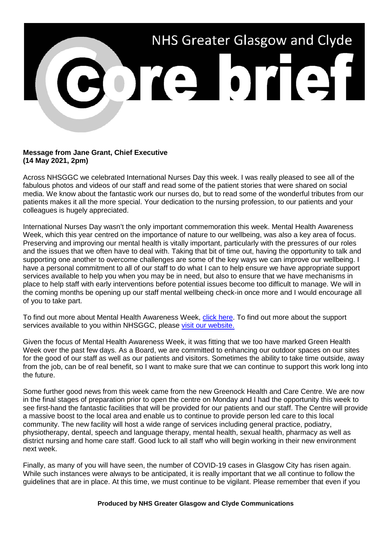

## **Message from Jane Grant, Chief Executive (14 May 2021, 2pm)**

Across NHSGGC we celebrated International Nurses Day this week. I was really pleased to see all of the fabulous photos and videos of our staff and read some of the patient stories that were shared on social media. We know about the fantastic work our nurses do, but to read some of the wonderful tributes from our patients makes it all the more special. Your dedication to the nursing profession, to our patients and your colleagues is hugely appreciated.

International Nurses Day wasn't the only important commemoration this week. Mental Health Awareness Week, which this year centred on the importance of nature to our wellbeing, was also a key area of focus. Preserving and improving our mental health is vitally important, particularly with the pressures of our roles and the issues that we often have to deal with. Taking that bit of time out, having the opportunity to talk and supporting one another to overcome challenges are some of the key ways we can improve our wellbeing. I have a personal commitment to all of our staff to do what I can to help ensure we have appropriate support services available to help you when you may be in need, but also to ensure that we have mechanisms in place to help staff with early interventions before potential issues become too difficult to manage. We will in the coming months be opening up our staff mental wellbeing check-in once more and I would encourage all of you to take part.

To find out more about Mental Health Awareness Week, [click here.](https://www.mentalhealth.org.uk/campaigns/mental-health-awareness-week) To find out more about the support services available to you within NHSGGC, please [visit our website.](https://www.nhsggc.org.uk/your-health/health-issues/covid-19-coronavirus/for-nhsggc-staff/staff-support-and-wellbeing/)

Given the focus of Mental Health Awareness Week, it was fitting that we too have marked Green Health Week over the past few days. As a Board, we are committed to enhancing our outdoor spaces on our sites for the good of our staff as well as our patients and visitors. Sometimes the ability to take time outside, away from the job, can be of real benefit, so I want to make sure that we can continue to support this work long into the future.

Some further good news from this week came from the new Greenock Health and Care Centre. We are now in the final stages of preparation prior to open the centre on Monday and I had the opportunity this week to see first-hand the fantastic facilities that will be provided for our patients and our staff. The Centre will provide a massive boost to the local area and enable us to continue to provide person led care to this local community. The new facility will host a wide range of services including general practice, podiatry, physiotherapy, dental, speech and language therapy, mental health, sexual health, pharmacy as well as district nursing and home care staff. Good luck to all staff who will begin working in their new environment next week.

Finally, as many of you will have seen, the number of COVID-19 cases in Glasgow City has risen again. While such instances were always to be anticipated, it is really important that we all continue to follow the guidelines that are in place. At this time, we must continue to be vigilant. Please remember that even if you

## **Produced by NHS Greater Glasgow and Clyde Communications**